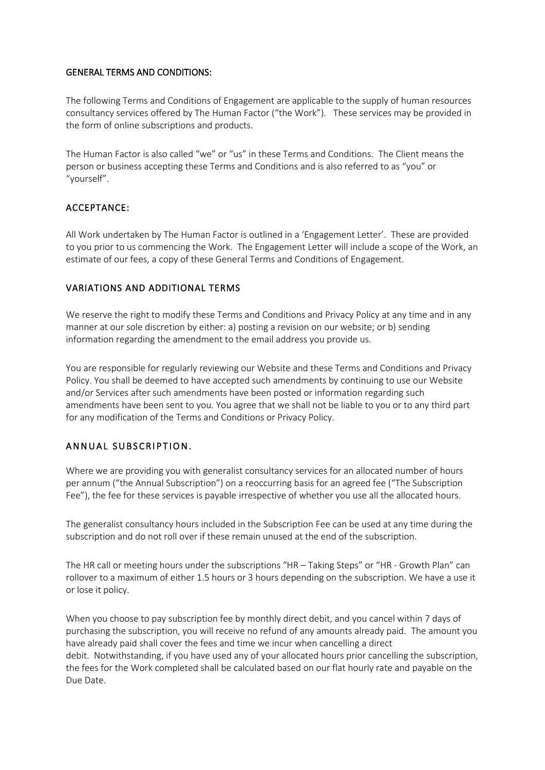#### GENERAL TERMS AND CONDITIONS:

The following Terms and Conditions of Engagement are applicable to the supply of human resources consultancy services offered by The Human Factor ("the Work"). These services may be provided in the form of online subscriptions and products.

The Human Factor is also called "we" or "us" in these Terms and Conditions. The Client means the person or business accepting these Terms and Conditions and is also referred to as "you" or "yourself".

# ACCEPTANCE:

All Work undertaken by The Human Factor is outlined in a 'Engagement Letter'. These are provided to you prior to us commencing the Work. The Engagement Letter will include a scope of the Work, an estimate of our fees, a copy of these General Terms and Conditions of Engagement.

# VARIATIONS AND ADDITIONAL TERMS

We reserve the right to modify these Terms and Conditions and Privacy Policy at any time and in any manner at our sole discretion by either: a) posting a revision on our website; or b) sending information regarding the amendment to the email address you provide us.

You are responsible for regularly reviewing our Website and these Terms and Conditions and Privacy Policy. You shall be deemed to have accepted such amendments by continuing to use our Website and/or Services after such amendments have been posted or information regarding such amendments have been sent to you. You agree that we shall not be liable to you or to any third part for any modification of the Terms and Conditions or Privacy Policy.

# ANNUAL SUBSCRIPTION.

Where we are providing you with generalist consultancy services for an allocated number of hours per annum ("the Annual Subscription") on a reoccurring basis for an agreed fee ("The Subscription Fee"), the fee for these services is payable irrespective of whether you use all the allocated hours.

The generalist consultancy hours included in the Subscription Fee can be used at any time during the subscription and do not roll over if these remain unused at the end of the subscription.

The HR call or meeting hours under the subscriptions "HR – Taking Steps" or "HR - Growth Plan" can rollover to a maximum of either 1.5 hours or 3 hours depending on the subscription. We have a use it or lose it policy.

When you choose to pay subscription fee by monthly direct debit, and you cancel within 7 days of purchasing the subscription, you will receive no refund of any amounts already paid. The amount you have already paid shall cover the fees and time we incur when cancelling a direct debit. Notwithstanding, if you have used any of your allocated hours prior cancelling the subscription, the fees for the Work completed shall be calculated based on our flat hourly rate and payable on the Due Date.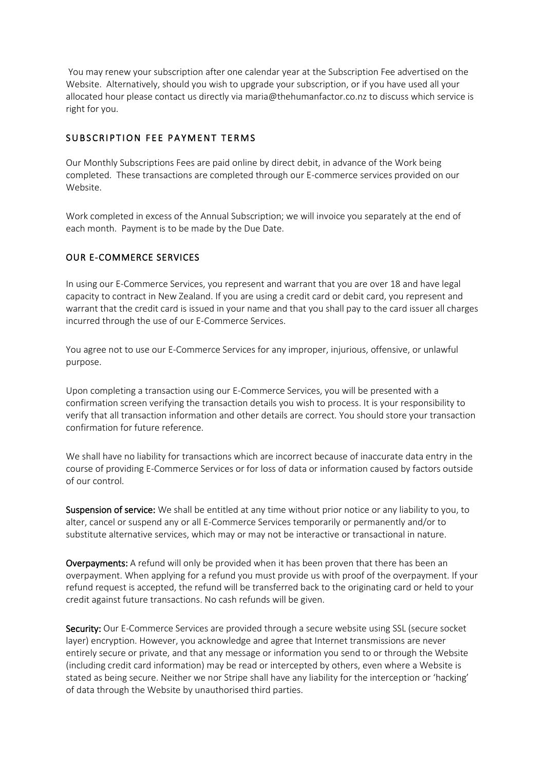You may renew your subscription after one calendar year at the Subscription Fee advertised on the Website. Alternatively, should you wish to upgrade your subscription, or if you have used all your allocated hour please contact us directly via maria@thehumanfactor.co.nz to discuss which service is right for you.

### SUBSCRIPTION FEE PAYMENT TERMS

Our Monthly Subscriptions Fees are paid online by direct debit, in advance of the Work being completed. These transactions are completed through our E-commerce services provided on our Website.

Work completed in excess of the Annual Subscription; we will invoice you separately at the end of each month. Payment is to be made by the Due Date.

#### OUR E-COMMERCE SERVICES

In using our E-Commerce Services, you represent and warrant that you are over 18 and have legal capacity to contract in New Zealand. If you are using a credit card or debit card, you represent and warrant that the credit card is issued in your name and that you shall pay to the card issuer all charges incurred through the use of our E-Commerce Services.

You agree not to use our E-Commerce Services for any improper, injurious, offensive, or unlawful purpose.

Upon completing a transaction using our E-Commerce Services, you will be presented with a confirmation screen verifying the transaction details you wish to process. It is your responsibility to verify that all transaction information and other details are correct. You should store your transaction confirmation for future reference.

We shall have no liability for transactions which are incorrect because of inaccurate data entry in the course of providing E-Commerce Services or for loss of data or information caused by factors outside of our control.

Suspension of service: We shall be entitled at any time without prior notice or any liability to you, to alter, cancel or suspend any or all E-Commerce Services temporarily or permanently and/or to substitute alternative services, which may or may not be interactive or transactional in nature.

Overpayments: A refund will only be provided when it has been proven that there has been an overpayment. When applying for a refund you must provide us with proof of the overpayment. If your refund request is accepted, the refund will be transferred back to the originating card or held to your credit against future transactions. No cash refunds will be given.

Security: Our E-Commerce Services are provided through a secure website using SSL (secure socket layer) encryption. However, you acknowledge and agree that Internet transmissions are never entirely secure or private, and that any message or information you send to or through the Website (including credit card information) may be read or intercepted by others, even where a Website is stated as being secure. Neither we nor Stripe shall have any liability for the interception or 'hacking' of data through the Website by unauthorised third parties.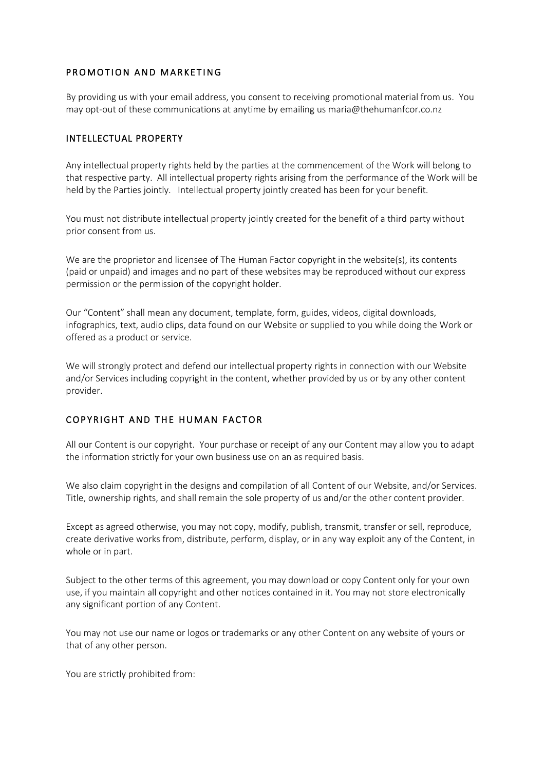### PROMOTION AND MARKETING

By providing us with your email address, you consent to receiving promotional material from us. You may opt-out of these communications at anytime by emailing us maria@thehumanfcor.co.nz

# INTELLECTUAL PROPERTY

Any intellectual property rights held by the parties at the commencement of the Work will belong to that respective party. All intellectual property rights arising from the performance of the Work will be held by the Parties jointly. Intellectual property jointly created has been for your benefit.

You must not distribute intellectual property jointly created for the benefit of a third party without prior consent from us.

We are the proprietor and licensee of The Human Factor copyright in the website(s), its contents (paid or unpaid) and images and no part of these websites may be reproduced without our express permission or the permission of the copyright holder.

Our "Content" shall mean any document, template, form, guides, videos, digital downloads, infographics, text, audio clips, data found on our Website or supplied to you while doing the Work or offered as a product or service.

We will strongly protect and defend our intellectual property rights in connection with our Website and/or Services including copyright in the content, whether provided by us or by any other content provider.

### COPYRIGHT AND THE HUMAN FACTOR

All our Content is our copyright. Your purchase or receipt of any our Content may allow you to adapt the information strictly for your own business use on an as required basis.

We also claim copyright in the designs and compilation of all Content of our Website, and/or Services. Title, ownership rights, and shall remain the sole property of us and/or the other content provider.

Except as agreed otherwise, you may not copy, modify, publish, transmit, transfer or sell, reproduce, create derivative works from, distribute, perform, display, or in any way exploit any of the Content, in whole or in part.

Subject to the other terms of this agreement, you may download or copy Content only for your own use, if you maintain all copyright and other notices contained in it. You may not store electronically any significant portion of any Content.

You may not use our name or logos or trademarks or any other Content on any website of yours or that of any other person.

You are strictly prohibited from: